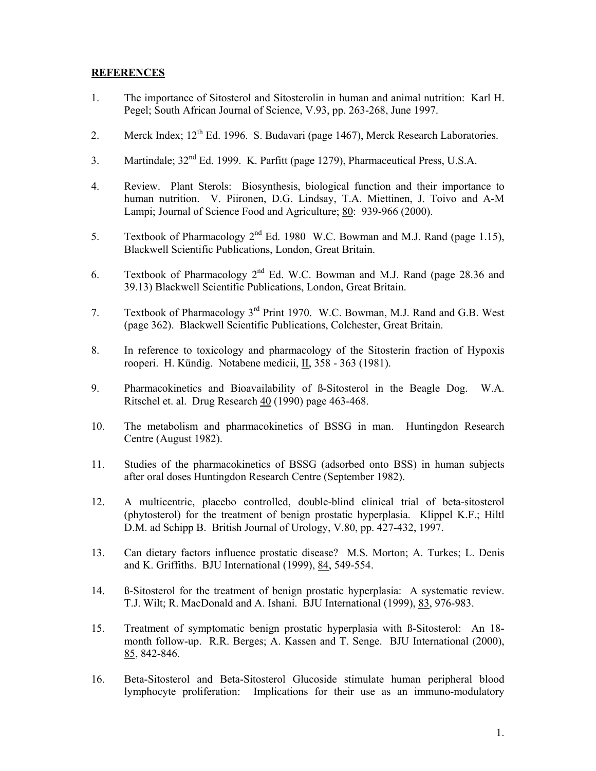## **REFERENCES**

- 1. The importance of Sitosterol and Sitosterolin in human and animal nutrition: Karl H. Pegel; South African Journal of Science, V.93, pp. 263-268, June 1997.
- 2. Merck Index;  $12^{th}$  Ed. 1996. S. Budavari (page 1467), Merck Research Laboratories.
- 3. Martindale; 32nd Ed. 1999. K. Parfitt (page 1279), Pharmaceutical Press, U.S.A.
- 4. Review. Plant Sterols: Biosynthesis, biological function and their importance to human nutrition. V. Piironen, D.G. Lindsay, T.A. Miettinen, J. Toivo and A-M Lampi; Journal of Science Food and Agriculture; 80: 939-966 (2000).
- 5. Textbook of Pharmacology 2nd Ed. 1980 W.C. Bowman and M.J. Rand (page 1.15), Blackwell Scientific Publications, London, Great Britain.
- 6. Textbook of Pharmacology  $2^{nd}$  Ed. W.C. Bowman and M.J. Rand (page 28.36 and 39.13) Blackwell Scientific Publications, London, Great Britain.
- 7. Textbook of Pharmacology 3rd Print 1970. W.C. Bowman, M.J. Rand and G.B. West (page 362). Blackwell Scientific Publications, Colchester, Great Britain.
- 8. In reference to toxicology and pharmacology of the Sitosterin fraction of Hypoxis rooperi. H. Kündig. Notabene medicii, II, 358 - 363 (1981).
- 9. Pharmacokinetics and Bioavailability of ß-Sitosterol in the Beagle Dog. W.A. Ritschel et. al. Drug Research 40 (1990) page 463-468.
- 10. The metabolism and pharmacokinetics of BSSG in man. Huntingdon Research Centre (August 1982).
- 11. Studies of the pharmacokinetics of BSSG (adsorbed onto BSS) in human subjects after oral doses Huntingdon Research Centre (September 1982).
- 12. A multicentric, placebo controlled, double-blind clinical trial of beta-sitosterol (phytosterol) for the treatment of benign prostatic hyperplasia. Klippel K.F.; Hiltl D.M. ad Schipp B. British Journal of Urology, V.80, pp. 427-432, 1997.
- 13. Can dietary factors influence prostatic disease? M.S. Morton; A. Turkes; L. Denis and K. Griffiths. BJU International (1999), 84, 549-554.
- 14. ß-Sitosterol for the treatment of benign prostatic hyperplasia: A systematic review. T.J. Wilt; R. MacDonald and A. Ishani. BJU International (1999), 83, 976-983.
- 15. Treatment of symptomatic benign prostatic hyperplasia with ß-Sitosterol: An 18 month follow-up. R.R. Berges; A. Kassen and T. Senge. BJU International (2000), 85, 842-846.
- 16. Beta-Sitosterol and Beta-Sitosterol Glucoside stimulate human peripheral blood lymphocyte proliferation: Implications for their use as an immuno-modulatory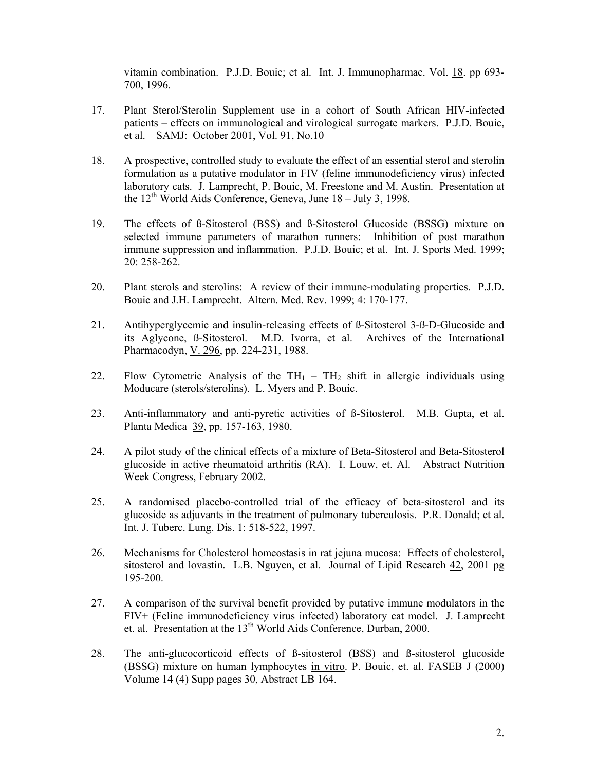vitamin combination. P.J.D. Bouic; et al. Int. J. Immunopharmac. Vol. 18. pp 693- 700, 1996.

- 17. Plant Sterol/Sterolin Supplement use in a cohort of South African HIV-infected patients – effects on immunological and virological surrogate markers. P.J.D. Bouic, et al. SAMJ: October 2001, Vol. 91, No.10
- 18. A prospective, controlled study to evaluate the effect of an essential sterol and sterolin formulation as a putative modulator in FIV (feline immunodeficiency virus) infected laboratory cats. J. Lamprecht, P. Bouic, M. Freestone and M. Austin. Presentation at the  $12<sup>th</sup>$  World Aids Conference, Geneva, June  $18 -$  July 3, 1998.
- 19. The effects of ß-Sitosterol (BSS) and ß-Sitosterol Glucoside (BSSG) mixture on selected immune parameters of marathon runners: Inhibition of post marathon immune suppression and inflammation. P.J.D. Bouic; et al. Int. J. Sports Med. 1999; 20: 258-262.
- 20. Plant sterols and sterolins: A review of their immune-modulating properties. P.J.D. Bouic and J.H. Lamprecht. Altern. Med. Rev. 1999; 4: 170-177.
- 21. Antihyperglycemic and insulin-releasing effects of ß-Sitosterol 3-ß-D-Glucoside and its Aglycone, ß-Sitosterol. M.D. Ivorra, et al. Archives of the International Pharmacodyn, V. 296, pp. 224-231, 1988.
- 22. Flow Cytometric Analysis of the  $TH_1 TH_2$  shift in allergic individuals using Moducare (sterols/sterolins). L. Myers and P. Bouic.
- 23. Anti-inflammatory and anti-pyretic activities of ß-Sitosterol. M.B. Gupta, et al. Planta Medica 39, pp. 157-163, 1980.
- 24. A pilot study of the clinical effects of a mixture of Beta-Sitosterol and Beta-Sitosterol glucoside in active rheumatoid arthritis (RA). I. Louw, et. Al. Abstract Nutrition Week Congress, February 2002.
- 25. A randomised placebo-controlled trial of the efficacy of beta-sitosterol and its glucoside as adjuvants in the treatment of pulmonary tuberculosis. P.R. Donald; et al. Int. J. Tuberc. Lung. Dis. 1: 518-522, 1997.
- 26. Mechanisms for Cholesterol homeostasis in rat jejuna mucosa: Effects of cholesterol, sitosterol and lovastin. L.B. Nguyen, et al. Journal of Lipid Research 42, 2001 pg 195-200.
- 27. A comparison of the survival benefit provided by putative immune modulators in the FIV+ (Feline immunodeficiency virus infected) laboratory cat model. J. Lamprecht et. al. Presentation at the 13th World Aids Conference, Durban, 2000.
- 28. The anti-glucocorticoid effects of ß-sitosterol (BSS) and ß-sitosterol glucoside (BSSG) mixture on human lymphocytes in vitro. P. Bouic, et. al. FASEB J (2000) Volume 14 (4) Supp pages 30, Abstract LB 164.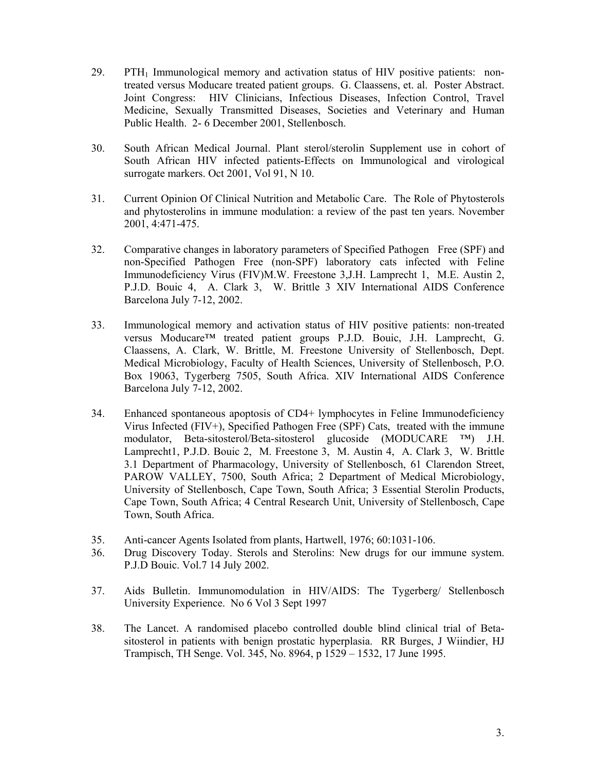- $29.$  PTH<sub>1</sub> Immunological memory and activation status of HIV positive patients: nontreated versus Moducare treated patient groups. G. Claassens, et. al. Poster Abstract. Joint Congress: HIV Clinicians, Infectious Diseases, Infection Control, Travel Medicine, Sexually Transmitted Diseases, Societies and Veterinary and Human Public Health. 2- 6 December 2001, Stellenbosch.
- 30. South African Medical Journal. Plant sterol/sterolin Supplement use in cohort of South African HIV infected patients-Effects on Immunological and virological surrogate markers. Oct 2001, Vol 91, N 10.
- 31. Current Opinion Of Clinical Nutrition and Metabolic Care. The Role of Phytosterols and phytosterolins in immune modulation: a review of the past ten years. November 2001, 4:471-475.
- 32. Comparative changes in laboratory parameters of Specified Pathogen Free (SPF) and non-Specified Pathogen Free (non-SPF) laboratory cats infected with Feline Immunodeficiency Virus (FIV)M.W. Freestone 3,J.H. Lamprecht 1, M.E. Austin 2, P.J.D. Bouic 4, A. Clark 3, W. Brittle 3 XIV International AIDS Conference Barcelona July 7-12, 2002.
- 33. Immunological memory and activation status of HIV positive patients: non-treated versus Moducare™ treated patient groups P.J.D. Bouic, J.H. Lamprecht, G. Claassens, A. Clark, W. Brittle, M. Freestone University of Stellenbosch, Dept. Medical Microbiology, Faculty of Health Sciences, University of Stellenbosch, P.O. Box 19063, Tygerberg 7505, South Africa. XIV International AIDS Conference Barcelona July 7-12, 2002.
- 34. Enhanced spontaneous apoptosis of CD4+ lymphocytes in Feline Immunodeficiency Virus Infected (FIV+), Specified Pathogen Free (SPF) Cats, treated with the immune modulator, Beta-sitosterol/Beta-sitosterol glucoside (MODUCARE ™) J.H. Lamprecht1, P.J.D. Bouic 2, M. Freestone 3, M. Austin 4, A. Clark 3, W. Brittle 3.1 Department of Pharmacology, University of Stellenbosch, 61 Clarendon Street, PAROW VALLEY, 7500, South Africa; 2 Department of Medical Microbiology, University of Stellenbosch, Cape Town, South Africa; 3 Essential Sterolin Products, Cape Town, South Africa; 4 Central Research Unit, University of Stellenbosch, Cape Town, South Africa.
- 35. Anti-cancer Agents Isolated from plants, Hartwell, 1976; 60:1031-106.
- 36. Drug Discovery Today. Sterols and Sterolins: New drugs for our immune system. P.J.D Bouic. Vol.7 14 July 2002.
- 37. Aids Bulletin. Immunomodulation in HIV/AIDS: The Tygerberg/ Stellenbosch University Experience. No 6 Vol 3 Sept 1997
- 38. The Lancet. A randomised placebo controlled double blind clinical trial of Betasitosterol in patients with benign prostatic hyperplasia. RR Burges, J Wiindier, HJ Trampisch, TH Senge. Vol. 345, No. 8964, p 1529 – 1532, 17 June 1995.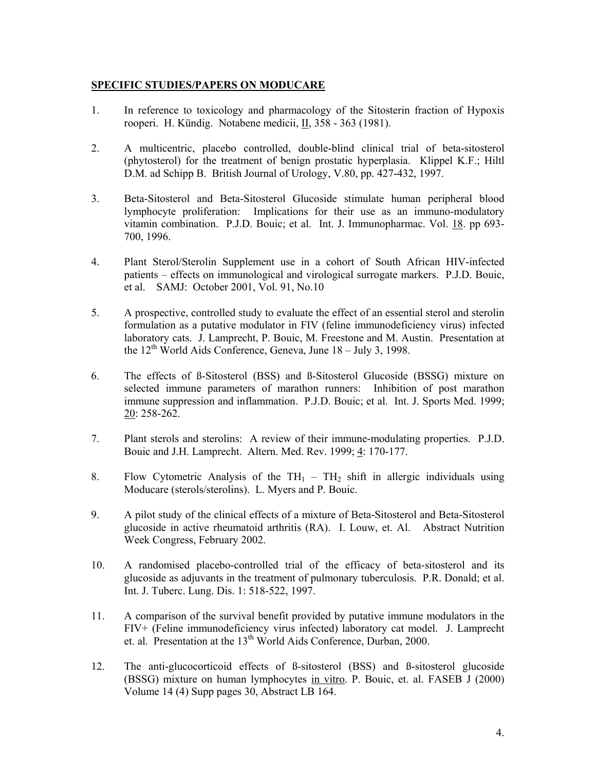## **SPECIFIC STUDIES/PAPERS ON MODUCARE**

- 1. In reference to toxicology and pharmacology of the Sitosterin fraction of Hypoxis rooperi. H. Kündig. Notabene medicii, II, 358 - 363 (1981).
- 2. A multicentric, placebo controlled, double-blind clinical trial of beta-sitosterol (phytosterol) for the treatment of benign prostatic hyperplasia. Klippel K.F.; Hiltl D.M. ad Schipp B. British Journal of Urology, V.80, pp. 427-432, 1997.
- 3. Beta-Sitosterol and Beta-Sitosterol Glucoside stimulate human peripheral blood lymphocyte proliferation: Implications for their use as an immuno-modulatory vitamin combination. P.J.D. Bouic; et al. Int. J. Immunopharmac. Vol. 18. pp 693- 700, 1996.
- 4. Plant Sterol/Sterolin Supplement use in a cohort of South African HIV-infected patients – effects on immunological and virological surrogate markers. P.J.D. Bouic, et al. SAMJ: October 2001, Vol. 91, No.10
- 5. A prospective, controlled study to evaluate the effect of an essential sterol and sterolin formulation as a putative modulator in FIV (feline immunodeficiency virus) infected laboratory cats. J. Lamprecht, P. Bouic, M. Freestone and M. Austin. Presentation at the  $12<sup>th</sup>$  World Aids Conference, Geneva, June  $18 - \text{July } 3$ , 1998.
- 6. The effects of ß-Sitosterol (BSS) and ß-Sitosterol Glucoside (BSSG) mixture on selected immune parameters of marathon runners: Inhibition of post marathon immune suppression and inflammation. P.J.D. Bouic; et al. Int. J. Sports Med. 1999; 20: 258-262.
- 7. Plant sterols and sterolins: A review of their immune-modulating properties. P.J.D. Bouic and J.H. Lamprecht. Altern. Med. Rev. 1999; 4: 170-177.
- 8. Flow Cytometric Analysis of the  $TH_1 TH_2$  shift in allergic individuals using Moducare (sterols/sterolins). L. Myers and P. Bouic.
- 9. A pilot study of the clinical effects of a mixture of Beta-Sitosterol and Beta-Sitosterol glucoside in active rheumatoid arthritis (RA). I. Louw, et. Al. Abstract Nutrition Week Congress, February 2002.
- 10. A randomised placebo-controlled trial of the efficacy of beta-sitosterol and its glucoside as adjuvants in the treatment of pulmonary tuberculosis. P.R. Donald; et al. Int. J. Tuberc. Lung. Dis. 1: 518-522, 1997.
- 11. A comparison of the survival benefit provided by putative immune modulators in the FIV+ (Feline immunodeficiency virus infected) laboratory cat model. J. Lamprecht et. al. Presentation at the  $13<sup>th</sup>$  World Aids Conference, Durban, 2000.
- 12. The anti-glucocorticoid effects of ß-sitosterol (BSS) and ß-sitosterol glucoside (BSSG) mixture on human lymphocytes in vitro. P. Bouic, et. al. FASEB J (2000) Volume 14 (4) Supp pages 30, Abstract LB 164.